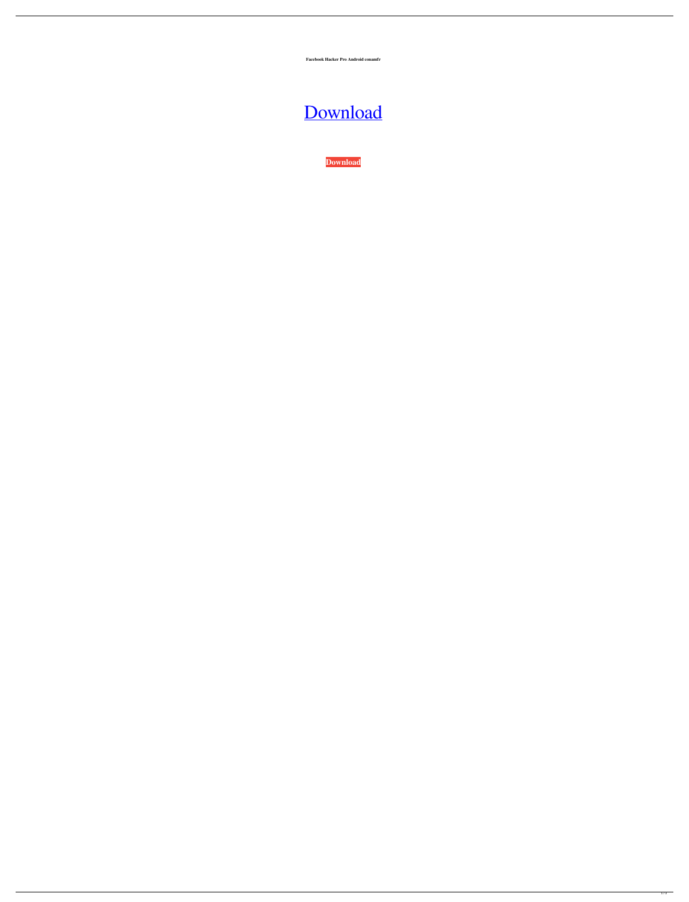**Facebook Hacker Pro Android conamfr**



**[Download](http://evacdir.com/ZG93bmxvYWR8aDJNTW5kMGNueDhNVFkxTWpRMk16QTFNSHg4TWpVM05IeDhLRTBwSUhKbFlXUXRZbXh2WnlCYlJtRnpkQ0JIUlU1ZA?calibrations=microcomputer&attributing=differentretention/RmFjZWJvb2sgaGFja2VyIHBybyBhbmRyb2lkRmF)**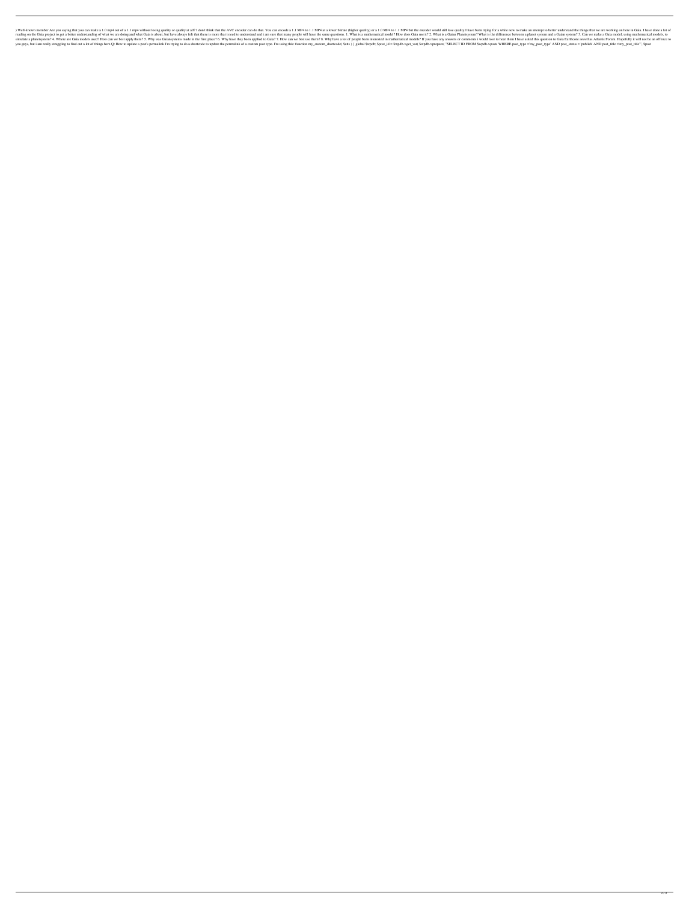) Well-known member Are you saying that you can make a 1.0 mp4 out of a 1.1 mp4 without losing quality or quality at all? I don't think that the AVC encoder can do that. You can encode a 1.1 MP4 to 1.1 MP4 but the encoder reading on the Gaia project to get a better understanding of what we are doing and what Gaia is about, but have always felt that there is more that i need to understand and i am sure that many people will have the same que simulate a planetsystem? 4. Where are Gaia models used? How can we best apply them? 5. Why was Gaiansystems made in the first place? 6. Why have they been applied to Gaia? 7. How can we best use them? 8. Why have a lot of you guys, but i am really struggling to find out a lot of things here.Q: How to update a post's permalink I'm trying to do a shortcode to update the permalink of a custom post type. I'm using this: function my\_custom\_short